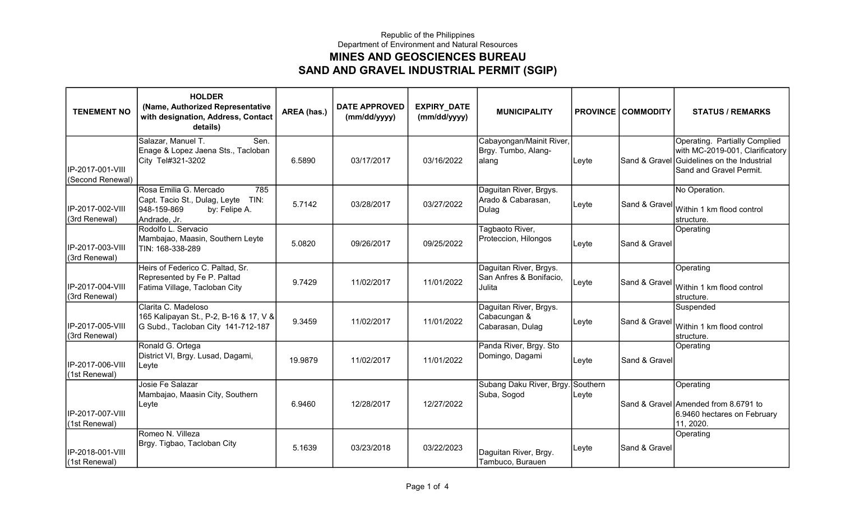## Republic of the Philippines Department of Environment and Natural Resources MINES AND GEOSCIENCES BUREAU SAND AND GRAVEL INDUSTRIAL PERMIT (SGIP)

| <b>TENEMENT NO</b>                   | <b>HOLDER</b><br>(Name, Authorized Representative<br>with designation, Address, Contact<br>details)                    | AREA (has.) | <b>DATE APPROVED</b><br>(mm/dd/yyyy) | <b>EXPIRY_DATE</b><br>(mm/dd/yyyy) | <b>MUNICIPALITY</b>                                         |                   | <b>PROVINCE COMMODITY</b> | <b>STATUS / REMARKS</b>                                                                                                                   |
|--------------------------------------|------------------------------------------------------------------------------------------------------------------------|-------------|--------------------------------------|------------------------------------|-------------------------------------------------------------|-------------------|---------------------------|-------------------------------------------------------------------------------------------------------------------------------------------|
| IP-2017-001-VIII<br>(Second Renewal) | Salazar, Manuel T.<br>Sen.<br>Enage & Lopez Jaena Sts., Tacloban<br>City Tel#321-3202                                  | 6.5890      | 03/17/2017                           | 03/16/2022                         | Cabayongan/Mainit River,<br>Brgy. Tumbo, Alang-<br>alang    | Leyte             |                           | Operating. Partially Complied<br>with MC-2019-001, Clarificatory<br>Sand & Gravel Guidelines on the Industrial<br>Sand and Gravel Permit. |
| IP-2017-002-VIII<br>(3rd Renewal)    | Rosa Emilia G. Mercado<br>785<br>Capt. Tacio St., Dulag, Leyte<br>TIN:<br>948-159-869<br>by: Felipe A.<br>Andrade, Jr. | 5.7142      | 03/28/2017                           | 03/27/2022                         | Daguitan River, Brgys.<br>Arado & Cabarasan,<br>Dulag       | Leyte             | Sand & Gravel             | No Operation.<br>Within 1 km flood control<br>structure.                                                                                  |
| IP-2017-003-VIII<br>(3rd Renewal)    | Rodolfo L. Servacio<br>Mambajao, Maasin, Southern Leyte<br>TIN: 168-338-289                                            | 5.0820      | 09/26/2017                           | 09/25/2022                         | Tagbaoto River,<br>Proteccion, Hilongos                     | Leyte             | Sand & Gravel             | Operating                                                                                                                                 |
| IP-2017-004-VIII<br>(3rd Renewal)    | Heirs of Federico C. Paltad, Sr.<br>Represented by Fe P. Paltad<br>Fatima Village, Tacloban City                       | 9.7429      | 11/02/2017                           | 11/01/2022                         | Daguitan River, Brgys.<br>San Anfres & Bonifacio,<br>Julita | Leyte             | Sand & Gravel             | Operating<br>Within 1 km flood control<br>Istructure.                                                                                     |
| IP-2017-005-VIII<br>(3rd Renewal)    | Clarita C. Madeloso<br>165 Kalipayan St., P-2, B-16 & 17, V &<br>G Subd., Tacloban City 141-712-187                    | 9.3459      | 11/02/2017                           | 11/01/2022                         | Daguitan River, Brgys.<br>Cabacungan &<br>Cabarasan, Dulag  | Leyte             | Sand & Gravel             | Suspended<br>Within 1 km flood control<br>structure.                                                                                      |
| IP-2017-006-VIII<br>(1st Renewal)    | Ronald G. Ortega<br>District VI, Brgy. Lusad, Dagami,<br>Leyte                                                         | 19.9879     | 11/02/2017                           | 11/01/2022                         | Panda River, Brgy. Sto<br>Domingo, Dagami                   | Leyte             | Sand & Gravel             | Operating                                                                                                                                 |
| IP-2017-007-VIII<br>(1st Renewal)    | Josie Fe Salazar<br>Mambajao, Maasin City, Southern<br>Leyte                                                           | 6.9460      | 12/28/2017                           | 12/27/2022                         | Subang Daku River, Brgy<br>Suba, Sogod                      | Southern<br>Leyte |                           | Operating<br>Sand & Gravel Amended from 8.6791 to<br>6.9460 hectares on February<br>11, 2020.                                             |
| IP-2018-001-VIII<br>(1st Renewal)    | Romeo N. Villeza<br>Brgy. Tigbao, Tacloban City                                                                        | 5.1639      | 03/23/2018                           | 03/22/2023                         | Daguitan River, Brgy.<br>Tambuco, Burauen                   | Leyte             | Sand & Gravel             | Operating                                                                                                                                 |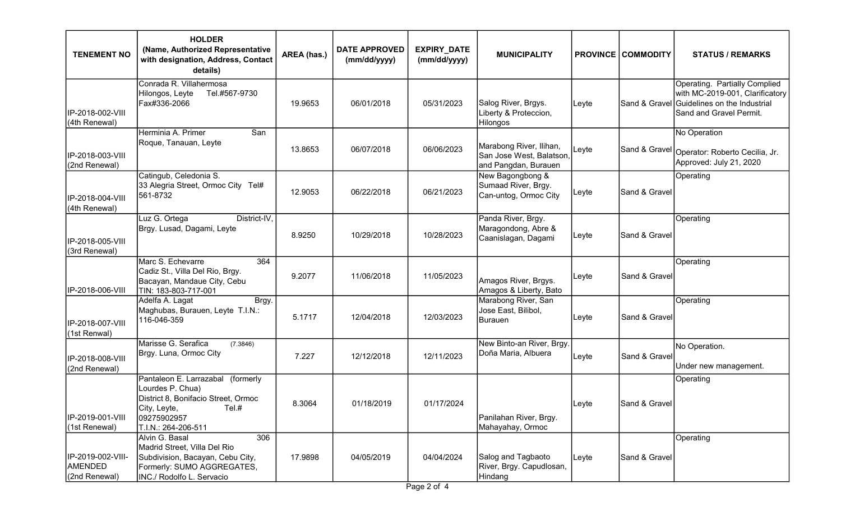| <b>TENEMENT NO</b>                                   | <b>HOLDER</b><br>(Name, Authorized Representative<br>with designation, Address, Contact<br>details)                                                         | AREA (has.) | <b>DATE APPROVED</b><br>(mm/dd/yyyy) | <b>EXPIRY_DATE</b><br>(mm/dd/yyyy) | <b>MUNICIPALITY</b>                                                         |       | <b>PROVINCE   COMMODITY</b> | <b>STATUS / REMARKS</b>                                                                                                                   |
|------------------------------------------------------|-------------------------------------------------------------------------------------------------------------------------------------------------------------|-------------|--------------------------------------|------------------------------------|-----------------------------------------------------------------------------|-------|-----------------------------|-------------------------------------------------------------------------------------------------------------------------------------------|
| IP-2018-002-VIII<br>(4th Renewal)                    | Conrada R. Villahermosa<br>Tel.#567-9730<br>Hilongos, Leyte<br>Fax#336-2066                                                                                 | 19.9653     | 06/01/2018                           | 05/31/2023                         | Salog River, Brgys.<br>Liberty & Proteccion,<br>Hilongos                    | Leyte |                             | Operating. Partially Complied<br>with MC-2019-001, Clarificatory<br>Sand & Gravel Guidelines on the Industrial<br>Sand and Gravel Permit. |
| IP-2018-003-VIII<br>(2nd Renewal)                    | Herminia A. Primer<br>San<br>Roque, Tanauan, Leyte                                                                                                          | 13.8653     | 06/07/2018                           | 06/06/2023                         | Marabong River, Ilihan,<br>San Jose West, Balatson,<br>and Pangdan, Burauen | Leyte |                             | No Operation<br><sub>∣</sub> Sand & Gravel│ <sub>Operator: Roberto Cecilia, Jr.</sub><br>Approved: July 21, 2020                          |
| IP-2018-004-VIII<br>(4th Renewal)                    | Catingub, Celedonia S.<br>33 Alegria Street, Ormoc City Tel#<br>561-8732                                                                                    | 12.9053     | 06/22/2018                           | 06/21/2023                         | New Bagongbong &<br>Sumaad River, Brgy.<br>Can-untog, Ormoc City            | Leyte | Sand & Gravel               | Operating                                                                                                                                 |
| IP-2018-005-VIII<br>(3rd Renewal)                    | Luz G. Ortega<br>District-IV,<br>Brgy. Lusad, Dagami, Leyte                                                                                                 | 8.9250      | 10/29/2018                           | 10/28/2023                         | Panda River, Brgy.<br>Maragondong, Abre &<br>Caanislagan, Dagami            | Leyte | Sand & Gravel               | Operating                                                                                                                                 |
| IP-2018-006-VIII                                     | Marc S. Echevarre<br>364<br>Cadiz St., Villa Del Rio, Brgy.<br>Bacayan, Mandaue City, Cebu<br>TIN: 183-803-717-001                                          | 9.2077      | 11/06/2018                           | 11/05/2023                         | Amagos River, Brgys.<br>Amagos & Liberty, Bato                              | Leyte | Sand & Gravel               | Operating                                                                                                                                 |
| IP-2018-007-VIII<br>(1st Renwal)                     | Adelfa A. Lagat<br>Brgy.<br>Maghubas, Burauen, Leyte T.I.N.:<br>116-046-359                                                                                 | 5.1717      | 12/04/2018                           | 12/03/2023                         | Marabong River, San<br>Jose East, Bilibol,<br><b>Burauen</b>                | Leyte | Sand & Gravel               | Operating                                                                                                                                 |
| IP-2018-008-VIII<br>(2nd Renewal)                    | Marisse G. Serafica<br>(7.3846)<br>Brgy. Luna, Ormoc City                                                                                                   | 7.227       | 12/12/2018                           | 12/11/2023                         | New Binto-an River, Brgy.<br>Doña Maria, Albuera                            | Leyte | Sand & Gravel               | No Operation.<br>Under new management.                                                                                                    |
| IP-2019-001-VIII<br>(1st Renewal)                    | Pantaleon E. Larrazabal (formerly<br>Lourdes P. Chua)<br>District 8, Bonifacio Street, Ormoc<br>Tel.#<br>City, Leyte,<br>09275902957<br>T.I.N.: 264-206-511 | 8.3064      | 01/18/2019                           | 01/17/2024                         | Panilahan River, Brgy.<br>Mahayahay, Ormoc                                  | Leyte | Sand & Gravel               | Operating                                                                                                                                 |
| IP-2019-002-VIII-<br><b>AMENDED</b><br>(2nd Renewal) | Alvin G. Basal<br>306<br>Madrid Street, Villa Del Rio<br>Subdivision, Bacayan, Cebu City,<br>Formerly: SUMO AGGREGATES,<br>INC./ Rodolfo L. Servacio        | 17.9898     | 04/05/2019                           | 04/04/2024                         | Salog and Tagbaoto<br>River, Brgy. Capudlosan,<br>Hindang                   | Leyte | Sand & Gravel               | Operating                                                                                                                                 |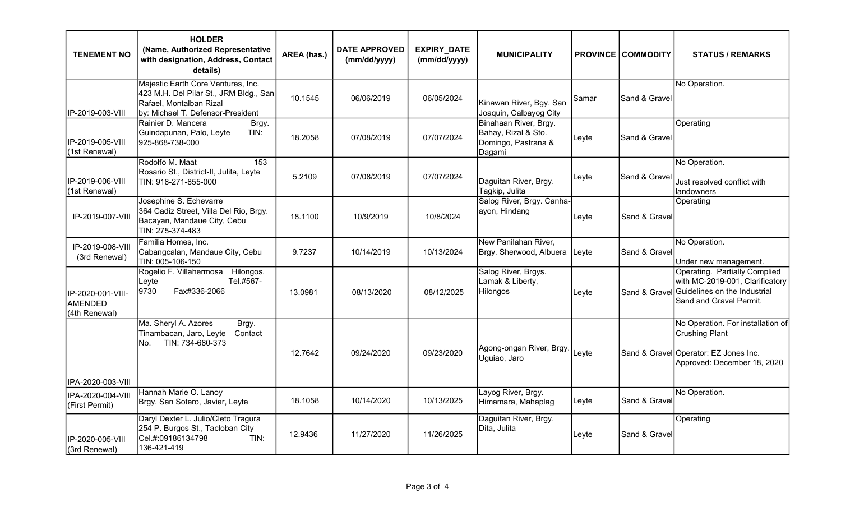| <b>TENEMENT NO</b>                            | <b>HOLDER</b><br>(Name, Authorized Representative<br>with designation, Address, Contact<br>details)                                          | AREA (has.) | <b>DATE APPROVED</b><br>(mm/dd/yyyy) | EXPIRY_DATE<br>(mm/dd/yyyy) | <b>MUNICIPALITY</b>                                                           |       | <b>PROVINCE COMMODITY</b> | <b>STATUS / REMARKS</b>                                                                                                                           |
|-----------------------------------------------|----------------------------------------------------------------------------------------------------------------------------------------------|-------------|--------------------------------------|-----------------------------|-------------------------------------------------------------------------------|-------|---------------------------|---------------------------------------------------------------------------------------------------------------------------------------------------|
| IIP-2019-003-VIII                             | Majestic Earth Core Ventures, Inc.<br>423 M.H. Del Pilar St., JRM Bldg., San<br>Rafael, Montalban Rizal<br>by: Michael T. Defensor-President | 10.1545     | 06/06/2019                           | 06/05/2024                  | Kinawan River, Bgy. San<br>Joaquin, Calbayog City                             | Samar | Sand & Gravel             | No Operation.                                                                                                                                     |
| lIP-2019-005-VIII<br>(1st Renewal)            | Rainier D. Mancera<br>Brgy.<br>Guindapunan, Palo, Leyte<br>TIN:<br>925-868-738-000                                                           | 18.2058     | 07/08/2019                           | 07/07/2024                  | Binahaan River, Brgy.<br>Bahay, Rizal & Sto.<br>Domingo, Pastrana &<br>Dagami | Leyte | Sand & Gravel             | Operating                                                                                                                                         |
| IP-2019-006-VIII<br>(1st Renewal)             | Rodolfo M. Maat<br>153<br>Rosario St., District-II, Julita, Leyte<br>TIN: 918-271-855-000                                                    | 5.2109      | 07/08/2019                           | 07/07/2024                  | Daguitan River, Brgy.<br>Tagkip, Julita                                       | Leyte | Sand & Gravel             | No Operation.<br>Just resolved conflict with<br>landowners                                                                                        |
| IP-2019-007-VIII                              | Josephine S. Echevarre<br>364 Cadiz Street, Villa Del Rio, Brgy.<br>Bacayan, Mandaue City, Cebu<br>TIN: 275-374-483                          | 18.1100     | 10/9/2019                            | 10/8/2024                   | Salog River, Brgy. Canha-<br>ayon, Hindang                                    | Leyte | Sand & Gravel             | Operating                                                                                                                                         |
| IP-2019-008-VIII<br>(3rd Renewal)             | Familia Homes, Inc.<br>Cabangcalan, Mandaue City, Cebu<br>TIN: 005-106-150                                                                   | 9.7237      | 10/14/2019                           | 10/13/2024                  | New Panilahan River,<br>Brgy. Sherwood, Albuera                               | Leyte | Sand & Gravel             | No Operation.<br>Under new management.                                                                                                            |
| IP-2020-001-VIII-<br>AMENDED<br>(4th Renewal) | Rogelio F. Villahermosa Hilongos,<br>Tel.#567-<br>Leyte<br>9730<br>Fax#336-2066                                                              | 13.0981     | 08/13/2020                           | 08/12/2025                  | Salog River, Brgys.<br>Lamak & Liberty,<br><b>Hilongos</b>                    | Leyte |                           | Operating. Partially Complied<br>with MC-2019-001, Clarificatory<br>Sand & Gravel Guidelines on the Industrial<br><b>ISand and Gravel Permit.</b> |
|                                               | Ma. Sheryl A. Azores<br>Brgy.<br>Tinambacan, Jaro, Leyte<br>Contact<br>TIN: 734-680-373<br>No.                                               | 12.7642     | 09/24/2020                           | 09/23/2020                  | Agong-ongan River, Brgy.<br>Uguiao, Jaro                                      | Leyte |                           | No Operation. For installation of<br>Crushing Plant<br>Sand & Gravel Operator: EZ Jones Inc.<br>Approved: December 18, 2020                       |
| IIPA-2020-003-VIII                            | Hannah Marie O. Lanoy                                                                                                                        |             |                                      |                             | Layog River, Brgy.                                                            |       |                           | No Operation.                                                                                                                                     |
| IPA-2020-004-VIII<br>(First Permit)           | Brgy. San Sotero, Javier, Leyte                                                                                                              | 18.1058     | 10/14/2020                           | 10/13/2025                  | Himamara, Mahaplag                                                            | Leyte | Sand & Gravel             |                                                                                                                                                   |
| IP-2020-005-VIII<br>(3rd Renewal)             | Daryl Dexter L. Julio/Cleto Tragura<br>254 P. Burgos St., Tacloban City<br>Cel.#:09186134798<br>TIN:<br>136-421-419                          | 12.9436     | 11/27/2020                           | 11/26/2025                  | Daguitan River, Brgy.<br>Dita, Julita                                         | Leyte | Sand & Gravel             | Operating                                                                                                                                         |